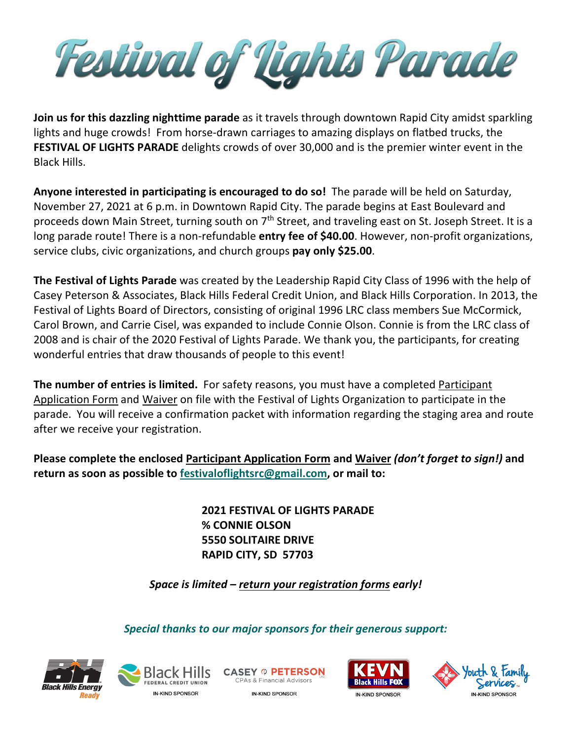Festival of Tights Parade

**Join us for this dazzling nighttime parade** as it travels through downtown Rapid City amidst sparkling lights and huge crowds! From horse-drawn carriages to amazing displays on flatbed trucks, the **FESTIVAL OF LIGHTS PARADE** delights crowds of over 30,000 and is the premier winter event in the Black Hills.

**Anyone interested in participating is encouraged to do so!** The parade will be held on Saturday, November 27, 2021 at 6 p.m. in Downtown Rapid City. The parade begins at East Boulevard and proceeds down Main Street, turning south on  $7<sup>th</sup>$  Street, and traveling east on St. Joseph Street. It is a long parade route! There is a non-refundable **entry fee of \$40.00**. However, non-profit organizations, service clubs, civic organizations, and church groups **pay only \$25.00**.

**The Festival of Lights Parade** was created by the Leadership Rapid City Class of 1996 with the help of Casey Peterson & Associates, Black Hills Federal Credit Union, and Black Hills Corporation. In 2013, the Festival of Lights Board of Directors, consisting of original 1996 LRC class members Sue McCormick, Carol Brown, and Carrie Cisel, was expanded to include Connie Olson. Connie is from the LRC class of 2008 and is chair of the 2020 Festival of Lights Parade. We thank you, the participants, for creating wonderful entries that draw thousands of people to this event!

**The number of entries is limited.** For safety reasons, you must have a completed Participant Application Form and Waiver on file with the Festival of Lights Organization to participate in the parade. You will receive a confirmation packet with information regarding the staging area and route after we receive your registration.

**Please complete the enclosed Participant Application Form and Waiver** *(don't forget to sign!)* **and return as soon as possible to [festivaloflightsrc@gmail.com,](mailto:festivaloflightsrc@gmail.com) or mail to:**

> **2021 FESTIVAL OF LIGHTS PARADE % CONNIE OLSON 5550 SOLITAIRE DRIVE RAPID CITY, SD 57703**

*Space is limited – return your registration forms early!*

*Special thanks to our major sponsors for their generous support:*





**CASEY O PETERSON CPAs & Financial Advisors** 





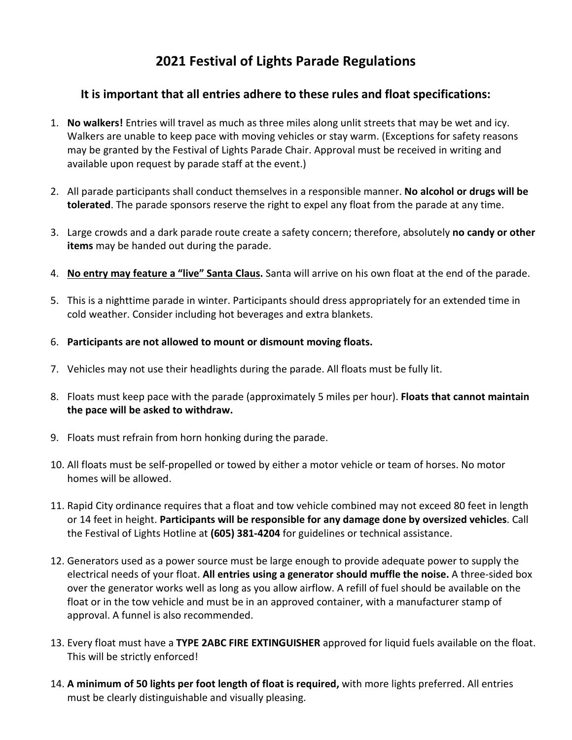## **2021 Festival of Lights Parade Regulations**

### **It is important that all entries adhere to these rules and float specifications:**

- 1. **No walkers!** Entries will travel as much as three miles along unlit streets that may be wet and icy. Walkers are unable to keep pace with moving vehicles or stay warm. (Exceptions for safety reasons may be granted by the Festival of Lights Parade Chair. Approval must be received in writing and available upon request by parade staff at the event.)
- 2. All parade participants shall conduct themselves in a responsible manner. **No alcohol or drugs will be tolerated**. The parade sponsors reserve the right to expel any float from the parade at any time.
- 3. Large crowds and a dark parade route create a safety concern; therefore, absolutely **no candy or other items** may be handed out during the parade.
- 4. **No entry may feature a "live" Santa Claus.** Santa will arrive on his own float at the end of the parade.
- 5. This is a nighttime parade in winter. Participants should dress appropriately for an extended time in cold weather. Consider including hot beverages and extra blankets.
- 6. **Participants are not allowed to mount or dismount moving floats.**
- 7. Vehicles may not use their headlights during the parade. All floats must be fully lit.
- 8. Floats must keep pace with the parade (approximately 5 miles per hour). **Floats that cannot maintain the pace will be asked to withdraw.**
- 9. Floats must refrain from horn honking during the parade.
- 10. All floats must be self-propelled or towed by either a motor vehicle or team of horses. No motor homes will be allowed.
- 11. Rapid City ordinance requires that a float and tow vehicle combined may not exceed 80 feet in length or 14 feet in height. **Participants will be responsible for any damage done by oversized vehicles**. Call the Festival of Lights Hotline at **(605) 381-4204** for guidelines or technical assistance.
- 12. Generators used as a power source must be large enough to provide adequate power to supply the electrical needs of your float. **All entries using a generator should muffle the noise.** A three-sided box over the generator works well as long as you allow airflow. A refill of fuel should be available on the float or in the tow vehicle and must be in an approved container, with a manufacturer stamp of approval. A funnel is also recommended.
- 13. Every float must have a **TYPE 2ABC FIRE EXTINGUISHER** approved for liquid fuels available on the float. This will be strictly enforced!
- 14. **A minimum of 50 lights per foot length of float is required,** with more lights preferred. All entries must be clearly distinguishable and visually pleasing.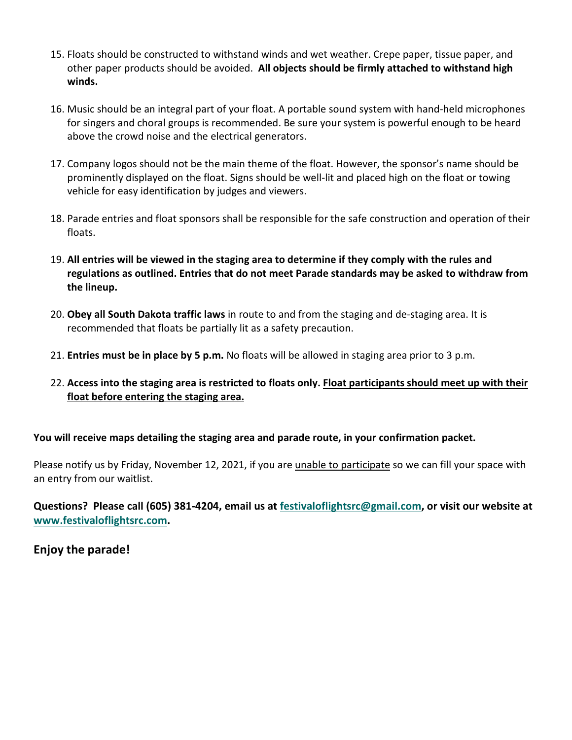- 15. Floats should be constructed to withstand winds and wet weather. Crepe paper, tissue paper, and other paper products should be avoided. **All objects should be firmly attached to withstand high winds.**
- 16. Music should be an integral part of your float. A portable sound system with hand-held microphones for singers and choral groups is recommended. Be sure your system is powerful enough to be heard above the crowd noise and the electrical generators.
- 17. Company logos should not be the main theme of the float. However, the sponsor's name should be prominently displayed on the float. Signs should be well-lit and placed high on the float or towing vehicle for easy identification by judges and viewers.
- 18. Parade entries and float sponsors shall be responsible for the safe construction and operation of their floats.
- 19. **All entries will be viewed in the staging area to determine if they comply with the rules and regulations as outlined. Entries that do not meet Parade standards may be asked to withdraw from the lineup.**
- 20. **Obey all South Dakota traffic laws** in route to and from the staging and de-staging area. It is recommended that floats be partially lit as a safety precaution.
- 21. **Entries must be in place by 5 p.m.** No floats will be allowed in staging area prior to 3 p.m.
- 22. **Access into the staging area is restricted to floats only. Float participants should meet up with their float before entering the staging area.**

**You will receive maps detailing the staging area and parade route, in your confirmation packet.**

Please notify us by Friday, November 12, 2021, if you are unable to participate so we can fill your space with an entry from our waitlist.

**Questions? Please call (605) 381-4204, email us at [festivaloflightsrc@gmail.com,](mailto:festivaloflightsrc@gmail.com) or visit our website at [www.festivaloflightsrc.com.](http://www.festivaloflightsrc.com/)** 

**Enjoy the parade!**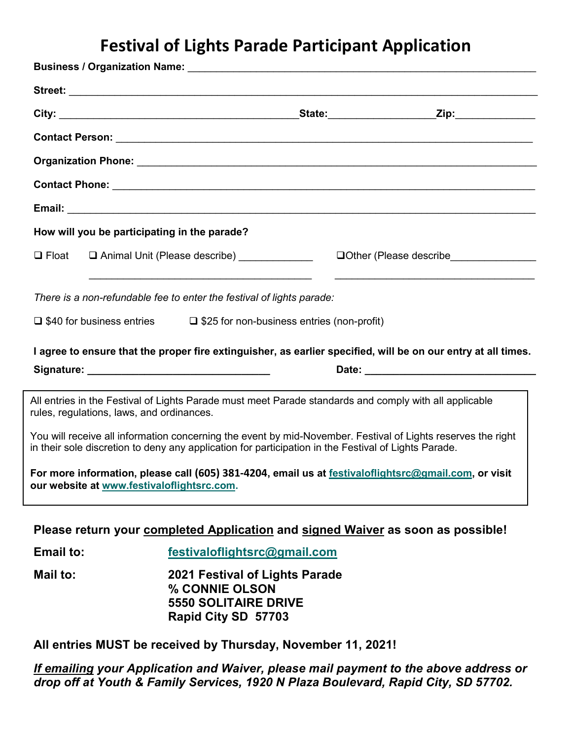# **Festival of Lights Parade Participant Application**

|                                                                       | How will you be participating in the parade?                                                                                                                                                                         |                                                                                                        |                                                                                                               |  |
|-----------------------------------------------------------------------|----------------------------------------------------------------------------------------------------------------------------------------------------------------------------------------------------------------------|--------------------------------------------------------------------------------------------------------|---------------------------------------------------------------------------------------------------------------|--|
| $\Box$ Float                                                          | Animal Unit (Please describe) _____________                                                                                                                                                                          |                                                                                                        |                                                                                                               |  |
| There is a non-refundable fee to enter the festival of lights parade: |                                                                                                                                                                                                                      |                                                                                                        |                                                                                                               |  |
|                                                                       | $\Box$ \$40 for business entries                                                                                                                                                                                     | $\Box$ \$25 for non-business entries (non-profit)                                                      |                                                                                                               |  |
|                                                                       |                                                                                                                                                                                                                      |                                                                                                        | I agree to ensure that the proper fire extinguisher, as earlier specified, will be on our entry at all times. |  |
|                                                                       |                                                                                                                                                                                                                      |                                                                                                        |                                                                                                               |  |
|                                                                       | All entries in the Festival of Lights Parade must meet Parade standards and comply with all applicable<br>rules, regulations, laws, and ordinances.                                                                  |                                                                                                        |                                                                                                               |  |
|                                                                       | You will receive all information concerning the event by mid-November. Festival of Lights reserves the right<br>in their sole discretion to deny any application for participation in the Festival of Lights Parade. |                                                                                                        |                                                                                                               |  |
|                                                                       | For more information, please call (605) 381-4204, email us at festivaloflightsrc@gmail.com, or visit<br>our website at www.festivaloflightsrc.com.                                                                   |                                                                                                        |                                                                                                               |  |
|                                                                       | Please return your completed Application and signed Waiver as soon as possible!                                                                                                                                      |                                                                                                        |                                                                                                               |  |
| <b>Email to:</b>                                                      |                                                                                                                                                                                                                      | festivaloflightsrc@gmail.com                                                                           |                                                                                                               |  |
| Mail to:                                                              |                                                                                                                                                                                                                      | 2021 Festival of Lights Parade<br>% CONNIE OLSON<br><b>5550 SOLITAIRE DRIVE</b><br>Rapid City SD 57703 |                                                                                                               |  |
|                                                                       | All entries MUST be received by Thursday, November 11, 2021!                                                                                                                                                         |                                                                                                        |                                                                                                               |  |
|                                                                       | drop off at Youth & Family Services, 1920 N Plaza Boulevard, Rapid City, SD 57702.                                                                                                                                   |                                                                                                        | If emailing your Application and Waiver, please mail payment to the above address or                          |  |